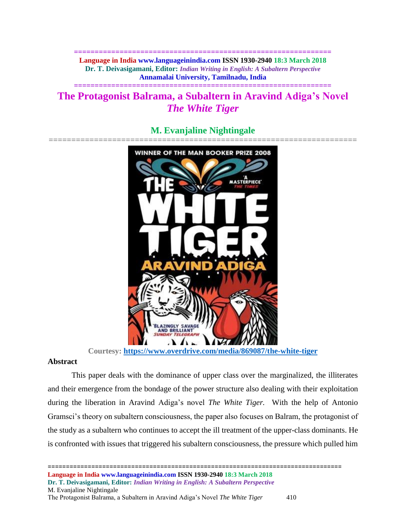**============================================================== Language in India www.languageinindia.com ISSN 1930-2940 18:3 March 2018 Dr. T. Deivasigamani, Editor:** *Indian Writing in English: A Subaltern Perspective* **Annamalai University, Tamilnadu, India**

# **The Protagonist Balrama, a Subaltern in Aravind Adiga's Novel**  *The White Tiger*

**==============================================================**



# **M. Evanjaline Nightingale**

**Courtesy:<https://www.overdrive.com/media/869087/the-white-tiger>**

## **Abstract**

This paper deals with the dominance of upper class over the marginalized, the illiterates and their emergence from the bondage of the power structure also dealing with their exploitation during the liberation in Aravind Adiga's novel *The White Tiger.* With the help of Antonio Gramsci's theory on subaltern consciousness, the paper also focuses on Balram, the protagonist of the study as a subaltern who continues to accept the ill treatment of the upper-class dominants. He is confronted with issues that triggered his subaltern consciousness, the pressure which pulled him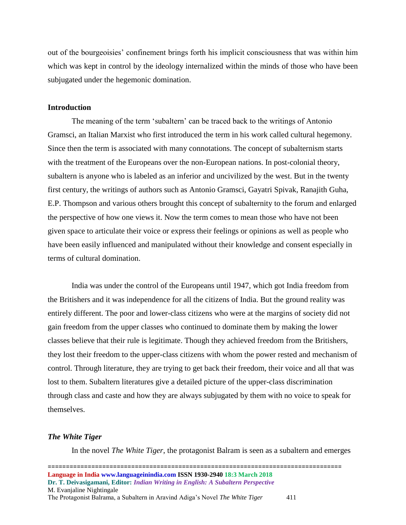out of the bourgeoisies' confinement brings forth his implicit consciousness that was within him which was kept in control by the ideology internalized within the minds of those who have been subjugated under the hegemonic domination.

#### **Introduction**

The meaning of the term 'subaltern' can be traced back to the writings of Antonio Gramsci, an Italian Marxist who first introduced the term in his work called cultural hegemony. Since then the term is associated with many connotations. The concept of subalternism starts with the treatment of the Europeans over the non-European nations. In post-colonial theory, subaltern is anyone who is labeled as an inferior and uncivilized by the west. But in the twenty first century, the writings of authors such as Antonio Gramsci, Gayatri Spivak, Ranajith Guha, E.P. Thompson and various others brought this concept of subalternity to the forum and enlarged the perspective of how one views it. Now the term comes to mean those who have not been given space to articulate their voice or express their feelings or opinions as well as people who have been easily influenced and manipulated without their knowledge and consent especially in terms of cultural domination.

India was under the control of the Europeans until 1947, which got India freedom from the Britishers and it was independence for all the citizens of India. But the ground reality was entirely different. The poor and lower-class citizens who were at the margins of society did not gain freedom from the upper classes who continued to dominate them by making the lower classes believe that their rule is legitimate. Though they achieved freedom from the Britishers, they lost their freedom to the upper-class citizens with whom the power rested and mechanism of control. Through literature, they are trying to get back their freedom, their voice and all that was lost to them. Subaltern literatures give a detailed picture of the upper-class discrimination through class and caste and how they are always subjugated by them with no voice to speak for themselves.

#### *The White Tiger*

In the novel *The White Tiger*, the protagonist Balram is seen as a subaltern and emerges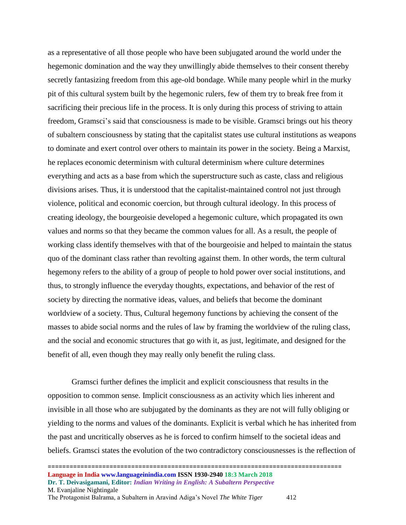as a representative of all those people who have been subjugated around the world under the hegemonic domination and the way they unwillingly abide themselves to their consent thereby secretly fantasizing freedom from this age-old bondage. While many people whirl in the murky pit of this cultural system built by the hegemonic rulers, few of them try to break free from it sacrificing their precious life in the process. It is only during this process of striving to attain freedom, Gramsci's said that consciousness is made to be visible. Gramsci brings out his theory of subaltern consciousness by stating that the capitalist states use cultural institutions as weapons to dominate and exert control over others to maintain its power in the society. Being a Marxist, he replaces economic determinism with cultural determinism where culture determines everything and acts as a base from which the superstructure such as caste, class and religious divisions arises. Thus, it is understood that the capitalist-maintained control not just through violence, political and economic coercion, but through cultural ideology. In this process of creating ideology, the bourgeoisie developed a hegemonic culture, which propagated its own values and norms so that they became the common values for all. As a result, the people of working class identify themselves with that of the bourgeoisie and helped to maintain the status quo of the dominant class rather than revolting against them. In other words, the term cultural hegemony refers to the ability of a group of people to hold power over social institutions, and thus, to strongly influence the everyday thoughts, expectations, and behavior of the rest of society by directing the normative ideas, values, and beliefs that become the dominant worldview of a society. Thus, Cultural hegemony functions by achieving the consent of the masses to abide social norms and the rules of law by framing the worldview of the ruling class, and the social and economic structures that go with it, as just, legitimate, and designed for the benefit of all, even though they may really only benefit the ruling class.

Gramsci further defines the implicit and explicit consciousness that results in the opposition to common sense. Implicit consciousness as an activity which lies inherent and invisible in all those who are subjugated by the dominants as they are not will fully obliging or yielding to the norms and values of the dominants. Explicit is verbal which he has inherited from the past and uncritically observes as he is forced to confirm himself to the societal ideas and beliefs. Gramsci states the evolution of the two contradictory consciousnesses is the reflection of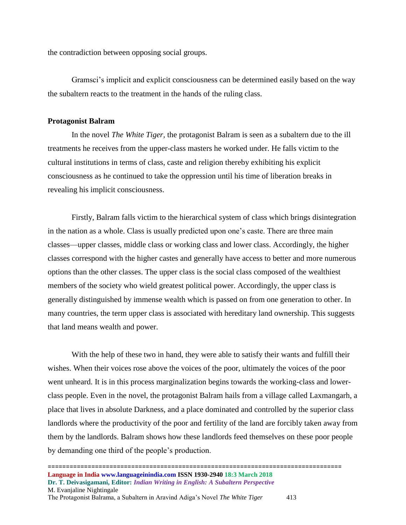the contradiction between opposing social groups.

Gramsci's implicit and explicit consciousness can be determined easily based on the way the subaltern reacts to the treatment in the hands of the ruling class.

#### **Protagonist Balram**

In the novel *The White Tiger,* the protagonist Balram is seen as a subaltern due to the ill treatments he receives from the upper-class masters he worked under. He falls victim to the cultural institutions in terms of class, caste and religion thereby exhibiting his explicit consciousness as he continued to take the oppression until his time of liberation breaks in revealing his implicit consciousness.

Firstly, Balram falls victim to the hierarchical system of class which brings disintegration in the nation as a whole. Class is usually predicted upon one's caste. There are three main classes—upper classes, middle class or working class and lower class. Accordingly, the higher classes correspond with the higher castes and generally have access to better and more numerous options than the other classes. The upper class is the social class composed of the wealthiest members of the society who wield greatest political power. Accordingly, the upper class is generally distinguished by immense wealth which is passed on from one generation to other. In many countries, the term upper class is associated with hereditary land ownership. This suggests that land means wealth and power.

With the help of these two in hand, they were able to satisfy their wants and fulfill their wishes. When their voices rose above the voices of the poor, ultimately the voices of the poor went unheard. It is in this process marginalization begins towards the working-class and lowerclass people. Even in the novel, the protagonist Balram hails from a village called Laxmangarh, a place that lives in absolute Darkness, and a place dominated and controlled by the superior class landlords where the productivity of the poor and fertility of the land are forcibly taken away from them by the landlords. Balram shows how these landlords feed themselves on these poor people by demanding one third of the people's production.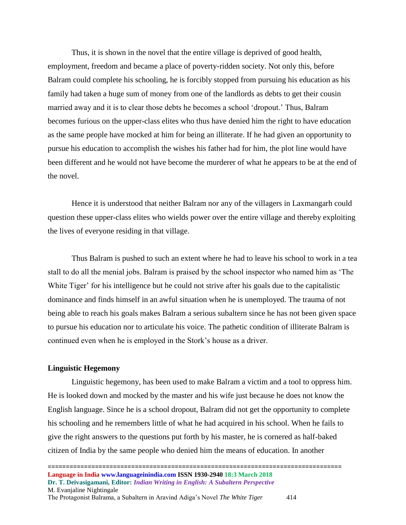Thus, it is shown in the novel that the entire village is deprived of good health, employment, freedom and became a place of poverty-ridden society. Not only this, before Balram could complete his schooling, he is forcibly stopped from pursuing his education as his family had taken a huge sum of money from one of the landlords as debts to get their cousin married away and it is to clear those debts he becomes a school 'dropout.' Thus, Balram becomes furious on the upper-class elites who thus have denied him the right to have education as the same people have mocked at him for being an illiterate. If he had given an opportunity to pursue his education to accomplish the wishes his father had for him, the plot line would have been different and he would not have become the murderer of what he appears to be at the end of the novel.

Hence it is understood that neither Balram nor any of the villagers in Laxmangarh could question these upper-class elites who wields power over the entire village and thereby exploiting the lives of everyone residing in that village.

Thus Balram is pushed to such an extent where he had to leave his school to work in a tea stall to do all the menial jobs. Balram is praised by the school inspector who named him as 'The White Tiger' for his intelligence but he could not strive after his goals due to the capitalistic dominance and finds himself in an awful situation when he is unemployed. The trauma of not being able to reach his goals makes Balram a serious subaltern since he has not been given space to pursue his education nor to articulate his voice. The pathetic condition of illiterate Balram is continued even when he is employed in the Stork's house as a driver.

#### **Linguistic Hegemony**

Linguistic hegemony, has been used to make Balram a victim and a tool to oppress him. He is looked down and mocked by the master and his wife just because he does not know the English language. Since he is a school dropout, Balram did not get the opportunity to complete his schooling and he remembers little of what he had acquired in his school. When he fails to give the right answers to the questions put forth by his master, he is cornered as half-baked citizen of India by the same people who denied him the means of education. In another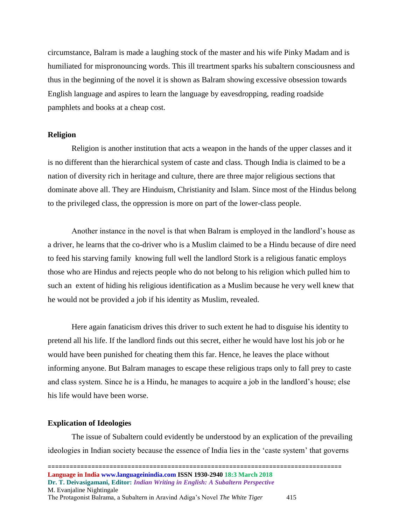circumstance, Balram is made a laughing stock of the master and his wife Pinky Madam and is humiliated for mispronouncing words. This ill treartment sparks his subaltern consciousness and thus in the beginning of the novel it is shown as Balram showing excessive obsession towards English language and aspires to learn the language by eavesdropping, reading roadside pamphlets and books at a cheap cost.

#### **Religion**

Religion is another institution that acts a weapon in the hands of the upper classes and it is no different than the hierarchical system of caste and class. Though India is claimed to be a nation of diversity rich in heritage and culture, there are three major religious sections that dominate above all. They are Hinduism, Christianity and Islam. Since most of the Hindus belong to the privileged class, the oppression is more on part of the lower-class people.

Another instance in the novel is that when Balram is employed in the landlord's house as a driver, he learns that the co-driver who is a Muslim claimed to be a Hindu because of dire need to feed his starving family knowing full well the landlord Stork is a religious fanatic employs those who are Hindus and rejects people who do not belong to his religion which pulled him to such an extent of hiding his religious identification as a Muslim because he very well knew that he would not be provided a job if his identity as Muslim, revealed.

Here again fanaticism drives this driver to such extent he had to disguise his identity to pretend all his life. If the landlord finds out this secret, either he would have lost his job or he would have been punished for cheating them this far. Hence, he leaves the place without informing anyone. But Balram manages to escape these religious traps only to fall prey to caste and class system. Since he is a Hindu, he manages to acquire a job in the landlord's house; else his life would have been worse.

#### **Explication of Ideologies**

The issue of Subaltern could evidently be understood by an explication of the prevailing ideologies in Indian society because the essence of India lies in the 'caste system' that governs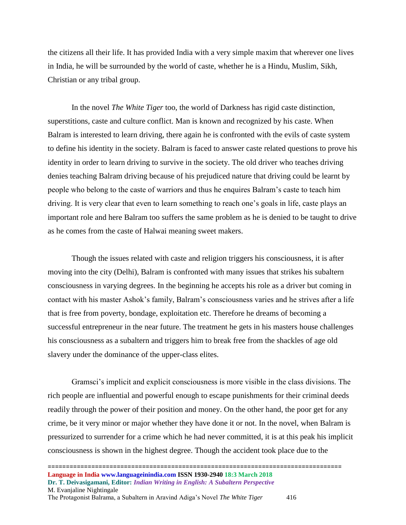the citizens all their life. It has provided India with a very simple maxim that wherever one lives in India, he will be surrounded by the world of caste, whether he is a Hindu, Muslim, Sikh, Christian or any tribal group.

In the novel *The White Tiger* too, the world of Darkness has rigid caste distinction, superstitions, caste and culture conflict. Man is known and recognized by his caste. When Balram is interested to learn driving, there again he is confronted with the evils of caste system to define his identity in the society. Balram is faced to answer caste related questions to prove his identity in order to learn driving to survive in the society. The old driver who teaches driving denies teaching Balram driving because of his prejudiced nature that driving could be learnt by people who belong to the caste of warriors and thus he enquires Balram's caste to teach him driving. It is very clear that even to learn something to reach one's goals in life, caste plays an important role and here Balram too suffers the same problem as he is denied to be taught to drive as he comes from the caste of Halwai meaning sweet makers.

Though the issues related with caste and religion triggers his consciousness, it is after moving into the city (Delhi), Balram is confronted with many issues that strikes his subaltern consciousness in varying degrees. In the beginning he accepts his role as a driver but coming in contact with his master Ashok's family, Balram's consciousness varies and he strives after a life that is free from poverty, bondage, exploitation etc. Therefore he dreams of becoming a successful entrepreneur in the near future. The treatment he gets in his masters house challenges his consciousness as a subaltern and triggers him to break free from the shackles of age old slavery under the dominance of the upper-class elites.

Gramsci's implicit and explicit consciousness is more visible in the class divisions. The rich people are influential and powerful enough to escape punishments for their criminal deeds readily through the power of their position and money. On the other hand, the poor get for any crime, be it very minor or major whether they have done it or not. In the novel, when Balram is pressurized to surrender for a crime which he had never committed, it is at this peak his implicit consciousness is shown in the highest degree. Though the accident took place due to the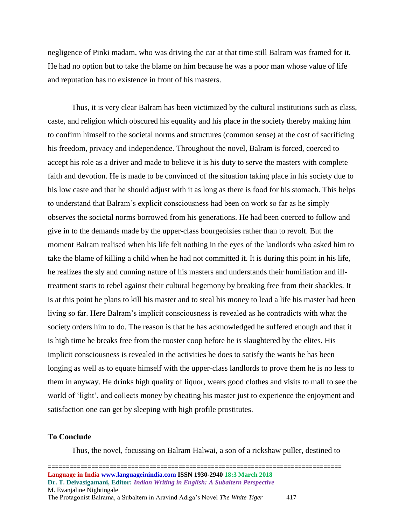negligence of Pinki madam, who was driving the car at that time still Balram was framed for it. He had no option but to take the blame on him because he was a poor man whose value of life and reputation has no existence in front of his masters.

Thus, it is very clear Balram has been victimized by the cultural institutions such as class, caste, and religion which obscured his equality and his place in the society thereby making him to confirm himself to the societal norms and structures (common sense) at the cost of sacrificing his freedom, privacy and independence. Throughout the novel, Balram is forced, coerced to accept his role as a driver and made to believe it is his duty to serve the masters with complete faith and devotion. He is made to be convinced of the situation taking place in his society due to his low caste and that he should adjust with it as long as there is food for his stomach. This helps to understand that Balram's explicit consciousness had been on work so far as he simply observes the societal norms borrowed from his generations. He had been coerced to follow and give in to the demands made by the upper-class bourgeoisies rather than to revolt. But the moment Balram realised when his life felt nothing in the eyes of the landlords who asked him to take the blame of killing a child when he had not committed it. It is during this point in his life, he realizes the sly and cunning nature of his masters and understands their humiliation and illtreatment starts to rebel against their cultural hegemony by breaking free from their shackles. It is at this point he plans to kill his master and to steal his money to lead a life his master had been living so far. Here Balram's implicit consciousness is revealed as he contradicts with what the society orders him to do. The reason is that he has acknowledged he suffered enough and that it is high time he breaks free from the rooster coop before he is slaughtered by the elites. His implicit consciousness is revealed in the activities he does to satisfy the wants he has been longing as well as to equate himself with the upper-class landlords to prove them he is no less to them in anyway. He drinks high quality of liquor, wears good clothes and visits to mall to see the world of 'light', and collects money by cheating his master just to experience the enjoyment and satisfaction one can get by sleeping with high profile prostitutes.

#### **To Conclude**

Thus, the novel, focussing on Balram Halwai, a son of a rickshaw puller, destined to